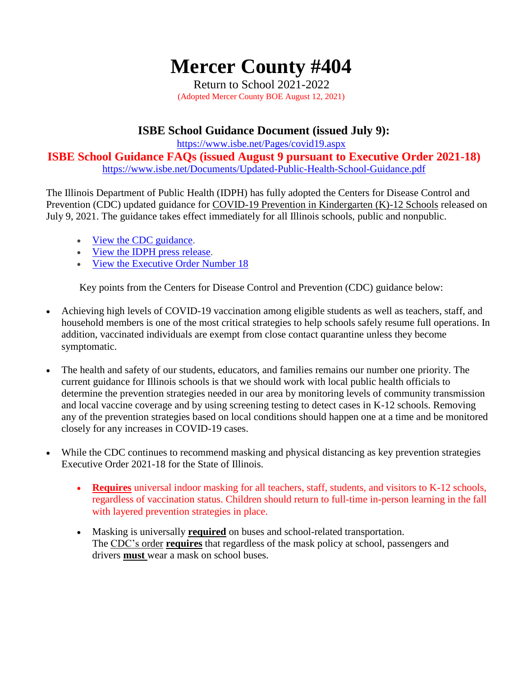# **Mercer County #404**

Return to School 2021-2022 (Adopted Mercer County BOE August 12, 2021)

## **ISBE School Guidance Document (issued July 9):**

<https://www.isbe.net/Pages/covid19.aspx>

**ISBE School Guidance FAQs (issued August 9 pursuant to Executive Order 2021-18)** <https://www.isbe.net/Documents/Updated-Public-Health-School-Guidance.pdf>

The Illinois Department of Public Health (IDPH) has fully adopted the Centers for Disease Control and Prevention (CDC) updated guidance for [COVID-19 Prevention in Kindergarten \(K\)-12 Schools](https://www.cdc.gov/coronavirus/2019-ncov/community/schools-childcare/k-12-guidance.html) released on July 9, 2021. The guidance takes effect immediately for all Illinois schools, public and nonpublic.

- [View the CDC guidance.](https://www.cdc.gov/coronavirus/2019-ncov/community/schools-childcare/k-12-guidance.html)
- [View the IDPH press release.](http://www.dph.illinois.gov/news/illinois-department-public-health-adopts-cdc-covid-19-prevention-school-guidance)
- [View the Executive Order Number 18](https://www.illinois.gov/government/executive-orders/executive-order.executive-order-number-18.2021.html)

Key points from the Centers for Disease Control and Prevention (CDC) guidance below:

- Achieving high levels of COVID-19 vaccination among eligible students as well as teachers, staff, and household members is one of the most critical strategies to help schools safely resume full operations. In addition, vaccinated individuals are exempt from close contact quarantine unless they become symptomatic.
- The health and safety of our students, educators, and families remains our number one priority. The current guidance for Illinois schools is that we should work with local public health officials to determine the prevention strategies needed in our area by monitoring levels of community transmission and local vaccine coverage and by using screening testing to detect cases in K-12 schools. Removing any of the prevention strategies based on local conditions should happen one at a time and be monitored closely for any increases in COVID-19 cases.
- While the CDC continues to recommend masking and physical distancing as key prevention strategies Executive Order 2021-18 for the State of Illinois.
	- Requires universal indoor masking for all teachers, staff, students, and visitors to K-12 schools, regardless of vaccination status. Children should return to full-time in-person learning in the fall with layered prevention strategies in place.
	- Masking is universally **required** on buses and school-related transportation. The [CDC's](http://link.isbe.net/c/6/?T=OTAyMDg4NDQ%3AMDItYjIxMTk0LWRjNDFmYmViNzAzNjQxOGJiOGY2NjExYTlhY2MxNmRm%3AcGV0cmllc0BtZXJjZXJzY2hvb2xzLm9yZw%3AY29udGFjdC05MWRmYjhkMzZkZjRlYTExYTgxNjAwMGQzYTU5MTNiZC1iMDA2OTdjZGNlMmY0YTg4OTU0MzFiYmRiOTMxYTQ2NQ%3AZmFsc2U%3AMw%3A%3AaHR0cHM6Ly93d3cuY2RjLmdvdi9xdWFyYW50aW5lL21hc2tzL21hc2stdHJhdmVsLWd1aWRhbmNlLmh0bWw_X2NsZGVlPWNHVjBjbWxsYzBCdFpYSmpaWEp6WTJodmIyeHpMbTl5WnclM2QlM2QmcmVjaXBpZW50aWQ9Y29udGFjdC05MWRmYjhkMzZkZjRlYTExYTgxNjAwMGQzYTU5MTNiZC1iMDA2OTdjZGNlMmY0YTg4OTU0MzFiYmRiOTMxYTQ2NSZlc2lkPWU3ZmNlNmY1LWU1ZTMtZWIxMS1iYWNiLTAwMjI0ODA4NjI0OQ&K=H8KsaUjPoQLme7d9XyyS8g) order **requires** that regardless of the mask policy at school, passengers and drivers **must** wear a mask on school buses.